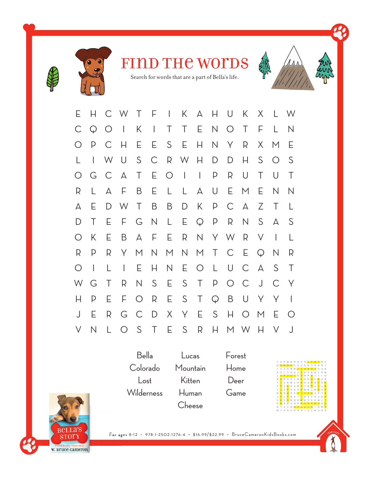



FIND THE WOTDS

Search for words that are a part of Bella's life.

| Е            | H                        |              | C W T F                  |              |                | $\mathbb{R}^n$ |                 | K A                        | $H_{\odot}$  | $\cup$       | K            | $X_{\cdot}$  | L W                      |              |
|--------------|--------------------------|--------------|--------------------------|--------------|----------------|----------------|-----------------|----------------------------|--------------|--------------|--------------|--------------|--------------------------|--------------|
| $\mathsf{C}$ | $\mathbb{Q}$             | $\bigcirc$   | $\perp$                  | K.           | $\mathbb{R}^n$ | $\top$         | $\top$          | E.                         | $N_{\odot}$  | $\bigcirc$   | $\top$       | F            | L                        | N            |
| O            | P                        | $\mathsf{C}$ | $\mathsf{H}$             | Е            | E.             | S              | E               | H                          | N            | Y            | R            | $\times$     | M                        | Е            |
| L            | $\overline{1}$           | W            | $\cup$                   | S            | $\mathsf{C}$   |                | R W             | $\overline{\phantom{a}}$ H | $\mathsf{D}$ | $\mathsf{D}$ | Н            | S            | $\bigcirc$               | S            |
| O            | G                        | $\mathsf{C}$ | А                        | $\top$       | E.             | $\bigcirc$     | $\perp$         | $\overline{1}$             | $\mathsf{p}$ | R            | $\cup$       | Τ            | $\cup$                   | $\top$       |
| R            | L                        | А            | F                        | B            | E.             | L              | $\mathsf{L}$    | А                          | $\bigcup$    | E.           | M            | Е            | $\mathsf{N}$             | N            |
| А            | Е                        | D            | W                        | $\top$       | B              | B              | $\mathsf{D}$    | K                          | P            | $\mathsf{C}$ | $\Delta$     | Ζ            | $\top$                   | L            |
| D            | Τ                        | Е            | F.                       | G            | N              | $\lfloor$      | E.              | $Q$ $P$                    |              | R            | $\mathsf{N}$ | S            | $\forall$                | S            |
| $\bigcirc$   | K                        | Е            | B                        | А            | F              | Ε              | R               | N                          |              | Y W          | $\mathsf{R}$ | $\vee$       | $\overline{\phantom{a}}$ | L            |
| R            | P                        | R            | Y                        | M            | N              | M              |                 | N M T                      |              | $\mathsf{C}$ | Ε            | $\mathbb{Q}$ | N                        | R            |
| $\bigcirc$   | $\overline{\phantom{a}}$ | L            | $\overline{\phantom{a}}$ | Е            | H.             | $\mathsf{N}$   | E.              | $\bigcirc$                 | $\mathsf{L}$ | U            | $\mathsf{C}$ | $\forall$    | S                        | $\top$       |
| W            | G                        | Τ            | R                        | N            | S              | E.             | $S_{\parallel}$ | $\top$                     | $\mathsf{P}$ | $\bigcirc$   | $\mathsf{C}$ | $\bigcup$    | $\mathsf{C}$             | $\mathsf{Y}$ |
| Н            | P                        | Е            | F                        | $\bigcirc$   | R              | E              | $S_{-}$         | Τ                          | $\mathbb{Q}$ | B            | $\cup$       | Y            | Y                        |              |
| J            | Е                        | R            | G                        | $\mathsf{C}$ | $\mathsf{D}$   | X              | Y               | E                          | S            | H            | $\bigcirc$   | M            | Е                        |              |
| V            | N                        | L            | $\bigcirc$               | S            | T              | E.             | S               | R                          | $\mathsf{H}$ | M            | W            | Н            | $\vee$                   | $\cup$       |

Bella Colorado Lost Wilderness

Lucas Mountain Kitten Human Cheese Forest Home Deer Game

W L X K U H A K I F T W C H E N T F T O <mark>N E T I T X</mark> I O Ó <mark>d</mark> B R <mark>G H F F 3 F</mark> H A B X **W** F S <mark>O</mark> S <mark>H</mark> Q Q H <mark>M</mark> & D S N M I <mark>1</mark> I<mark>n In</mark> 8 4 1 1 0 F I V O B <mark>O</mark> N <mark>N E D E F F W</mark> F M H W F <mark>N</mark> H B B L M C P B D K D C <mark>V</mark> Z <mark>L</mark> F S <mark>V</mark> S <mark>N</mark> 8 1 0 <mark>F</mark> T N <mark>5</mark> F <mark>E L 0</mark> DIK F B <mark>V</mark> F E <mark>B</mark> W A M B A <mark>II</mark> F B <mark>N A W</mark> N W <mark>W</mark> N N <mark>W</mark> A <mark>B</mark> B I <mark>s v d n 1 o e</mark> n h <mark>e</mark> i 1 i o A G I <mark>S A S N R I S M</mark> I A A N B O <mark>I S E M O H</mark> E d H O <mark>e moh</mark> s e a x d o b a e r r a h m w h a s e <mark>il s o e</mark> n a

N do din D . . . .

A



For ages 8-12 • 978-1-2502-1276-4 • \$16.99/\$22.99 • BruceCameronKidsBooks.com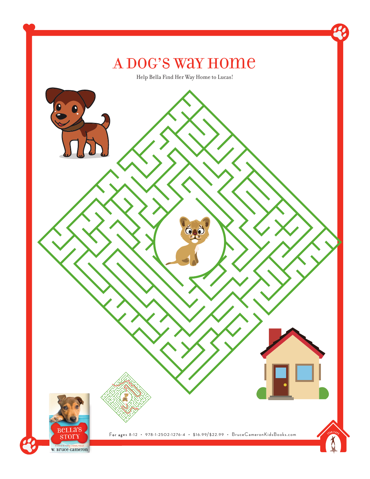## A Dog's Way Home

Help Bella Find Her Way Home to Lucas!